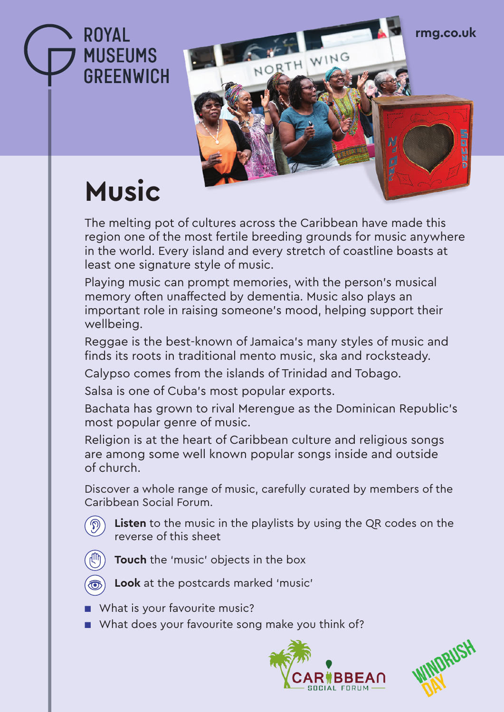**rmg.co.uk**

## **Music**

**ROYAL** 

**MUSEUMS** 

**GREENWICH** 

The melting pot of cultures across the Caribbean have made this region one of the most fertile breeding grounds for music anywhere in the world. Every island and every stretch of coastline boasts at least one signature style of music.

NORTH WING

Playing music can prompt memories, with the person's musical memory often unaffected by dementia. Music also plays an important role in raising someone's mood, helping support their wellbeing.

Reggae is the best-known of Jamaica's many styles of music and finds its roots in traditional mento music, ska and rocksteady.

Calypso comes from the islands of Trinidad and Tobago.

Salsa is one of Cuba's most popular exports.

Bachata has grown to rival Merengue as the Dominican Republic's most popular genre of music.

Religion is at the heart of Caribbean culture and religious songs are among some well known popular songs inside and outside of church.

Discover a whole range of music, carefully curated by members of the Caribbean Social Forum.

**Exten** to the music in the playlists by using the QR codes on the reverse of this sheet

- **Touch** the 'music' objects in the box
- 
- **book** at the postcards marked 'music'
- What is your favourite music?
- What does your favourite song make you think of?